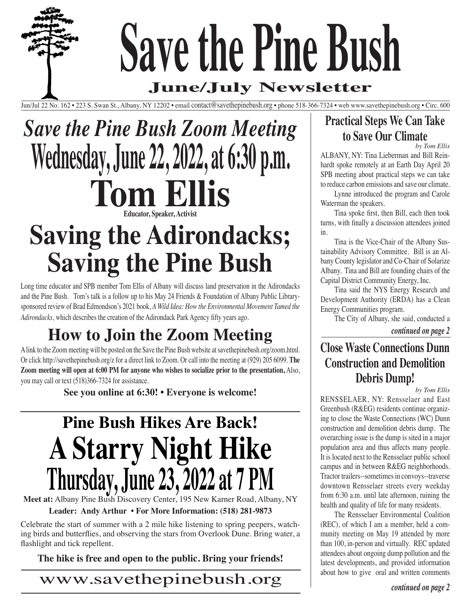# **Save the Pine Bush**

## **June/July Newsletter**

Jun/Jul 22 No. 162 • 223 S. Swan St., Albany, NY 12202 • email contact@savethepinebush.org • phone 518-366-7324 • web www.savethepinebush.org • Circ. 600

# *Save the Pine Bush Zoom Meeting* **Wednesday, June 22, 2022, at 6:30 p.m. Tom Ellis Educator, Speaker, Activi**

## **Saving the Adirondacks; Saving the Pine Bush**

Long time educator and SPB member Tom Ellis of Albany will discuss land preservation in the Adirondacks and the Pine Bush. Tom's talk is a follow up to his May 24 Friends & Foundation of Albany Public Librarysponsored review of Brad Edmondson's 2021 book, *A Wild Idea: How the Environmental Movement Tamed the Adirondacks*, which describes the creation of the Adirondack Park Agency fifty years ago.

## **How to Join the Zoom Meeting**

A link to the Zoom meeting will be posted on the Save the Pine Bush website at savethepinebush.org/zoom.html. Or click http://savethepinebush.org/z for a direct link to Zoom. Or call into the meeting at (929) 205 6099. **The Zoom meeting will open at 6:00 PM for anyone who wishes to socialize prior to the presentation,** Also, you may call or text (518)366-7324 for assistance.

**See you online at 6:30! • Everyone is welcome!** 

# **Pine Bush Hikes Are Back! A Starry Night Hike Thursday, June 23, 2022 at 7 PM**

**Meet at:** Albany Pine Bush Discovery Center, 195 New Karner Road, Albany, NY

**Leader: Andy Arthur • For More Information: (518) 281-9873**

Celebrate the start of summer with a 2 mile hike listening to spring peepers, watching birds and butterflies, and observing the stars from Overlook Dune. Bring water, a flashlight and tick repellent.

**The hike is free and open to the public. Bring your friends!**

www.savethepinebush.org

### **Practical Steps We Can Take to Save Our Climate**

*by Tom Ellis*

ALBANY, NY: Tina Lieberman and Bill Reinhardt spoke remotely at an Earth Day April 20 SPB meeting about practical steps we can take to reduce carbon emissions and save our climate.

Lynne introduced the program and Carole Waterman the speakers.

Tina spoke first, then Bill, each then took turns, with finally a discussion attendees joined in.

Tina is the Vice-Chair of the Albany Sustainability Advisory Committee. Bill is an Albany County legislator and Co-Chair of Solarize Albany. Tina and Bill are founding chairs of the Capital District Community Energy, Inc.

Tina said the NYS Energy Research and Development Authority (ERDA) has a Clean Energy Communities program.

The City of Albany, she said, conducted a

*continued on page 2*

**Close Waste Connections Dunn Construction and Demolition Debris Dump!** 

*by Tom Ellis*

RENSSELAER, NY: Rensselaer and East Greenbush (R&EG) residents continue organizing to close the Waste Connections (WC) Dunn construction and demolition debris dump. The overarching issue is the dump is sited in a major population area and thus affects many people. It is located next to the Rensselaer public school campus and in between R&EG neighborhoods. Tractor trailers--sometimes in convoys--traverse downtown Rensselaer streets every weekday from 6:30 a.m. until late afternoon, ruining the health and quality of life for many residents.

The Rensselaer Environmental Coalition (REC), of which I am a member, held a community meeting on May 19 attended by more than 100, in-person and virtually. REC updated attendees about ongoing dump pollution and the latest developments, and provided information about how to give oral and written comments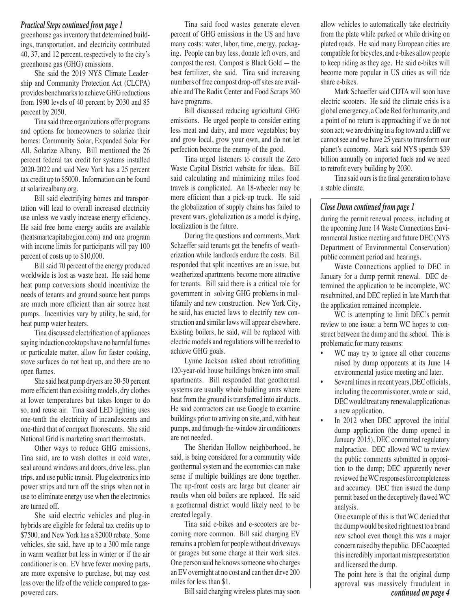#### *Practical Steps continued from page 1*

greenhouse gas inventory that determined buildings, transportation, and electricity contributed 40, 37, and 12 percent, respectively to the city's greenhouse gas (GHG) emissions.

She said the 2019 NYS Climate Leadership and Community Protection Act (CLCPA) provides benchmarks to achieve GHG reductions from 1990 levels of 40 percent by 2030 and 85 percent by 2050.

Tina said three organizations offer programs and options for homeowners to solarize their homes: Community Solar, Expanded Solar For All, Solarize Albany. Bill mentioned the 26 percent federal tax credit for systems installed 2020-2022 and said New York has a 25 percent tax credit up to \$5000. Information can be found at solarizealbany.org.

Bill said electrifying homes and transportation will lead to overall increased electricity use unless we vastly increase energy efficiency. He said free home energy audits are available (heatsmartcapitalregion.com) and one program with income limits for participants will pay 100 percent of costs up to \$10,000.

Bill said 70 percent of the energy produced worldwide is lost as waste heat. He said home heat pump conversions should incentivize the needs of tenants and ground source heat pumps are much more efficient than air source heat pumps. Incentivies vary by utility, he said, for heat pump water heaters.

Tina discussed electrification of appliances saying induction cooktops have no harmful fumes or particulate matter, allow for faster cooking, stove surfaces do not heat up, and there are no open flames.

She said heat pump dryers are 30-50 percent more efficient than exisiting models, dry clothes at lower temperatures but takes longer to do so, and reuse air. Tina said LED lighting uses one-tenth the electricity of incandescents and one-third that of compact fluorescents. She said National Grid is marketing smart thermostats.

Other ways to reduce GHG emissions, Tina said, are to wash clothes in cold water, seal around windows and doors, drive less, plan trips, and use public transit. Plug electronics into power strips and turn off the strips when not in use to eliminate energy use when the electronics are turned off.

She said electric vehicles and plug-in hybrids are eligible for federal tax credits up to \$7500, and New York has a \$2000 rebate. Some vehicles, she said, have up to a 300 mile range in warm weather but less in winter or if the air conditioner is on. EV have fewer moving parts, are more expensive to purchase, but may cost less over the life of the vehicle compared to gaspowered cars. *continued on page 4* Bill said charging wireless plates may soon

Tina said food wastes generate eleven percent of GHG emissions in the US and have many costs: water, labor, time, energy, packaging. People can buy less, donate left overs, and compost the rest. Compost is Black Gold — the best fertilizer, she said. Tina said increasing numbers of free compost drop-off sites are available and The Radix Center and Food Scraps 360 have programs.

Bill discussed reducing agricultural GHG emissions. He urged people to consider eating less meat and dairy, and more vegetables; buy and grow local, grow your own, and do not let perfection become the enemy of the good.

Tina urged listeners to consult the Zero Waste Capital District website for ideas. Bill said calculating and minimizing miles food travels is complicated. An 18-wheeler may be more efficient than a pick-up truck. He said the globalization of supply chains has failed to prevent wars, globalization as a model is dying, localization is the future.

During the questions and comments, Mark Schaeffer said tenants get the benefits of weatherization while landlords endure the costs. Bill responded that split incentives are an issue, but weatherized apartments become more attractive for tenants. Bill said there is a critical role for government in solving GHG problems in multifamily and new construction. New York City, he said, has enacted laws to electrify new construction and similar laws will appear elsewhere. Existing boilers, he said, will be replaced with electric models and regulations will be needed to achieve GHG goals.

Lynne Jackson asked about retrofitting 120-year-old house buildings broken into small apartments. Bill responded that geothermal systems are usually whole building units where heat from the ground is transferred into air ducts. He said contractors can use Google to examine buildings prior to arriving on site, and, with heat pumps, and through-the-window air conditioners are not needed.

The Sheridan Hollow neighborhood, he said, is being considered for a community wide geothermal system and the economics can make sense if multiple buildings are done together. The up-front costs are large but cleaner air results when old boilers are replaced. He said a geothermal district would likely need to be created legally.

Tina said e-bikes and e-scooters are becoming more common. Bill said charging EV remains a problem for people without driveways or garages but some charge at their work sites. One person said he knows someone who charges an EV overnight at no cost and can then dirve 200 miles for less than \$1.

allow vehicles to automatically take electricity from the plate while parked or while driving on plated roads. He said many European cities are compatible for bicycles, and e-bikes allow people to keep riding as they age. He said e-bikes will become more popular in US cities as will ride share e-bikes.

Mark Schaeffer said CDTA will soon have electric scooters. He said the climate crisis is a global emergency, a Code Red for humanity, and a point of no return is approaching if we do not soon act; we are driving in a fog toward a cliff we cannot see and we have 25 years to transform our planet's economy. Mark said NYS spends \$39 billion annually on imported fuels and we need to retrofit every building by 2030.

Tina said ours is the final generation to have a stable climate.

#### *Close Dunn continued from page 1*

during the permit renewal process, including at the upcoming June 14 Waste Connections Environmental Justice meeting and future DEC (NYS Department of Environmental Conservation) public comment period and hearings.

Waste Connections applied to DEC in January for a dump permit renewal. DEC determined the application to be incomplete, WC resubmitted, and DEC replied in late March that the application remained incomplete.

WC is attempting to limit DEC's permit review to one issue: a berm WC hopes to construct between the dump and the school. This is problematic for many reasons:

- WC may try to ignore all other concerns raised by dump opponents at its June 14 environmental justice meeting and later.
- Several times in recent years, DEC officials, including the commissioner, wrote or said, DEC would treat any renewal application as a new application.
- In 2012 when DEC approved the initial dump application (the dump opened in January 2015), DEC committed regulatory malpractice. DEC allowed WC to review the public comments submitted in opposition to the dump; DEC apparently never reviewed the WC responses for completeness and accuracy. DEC then issued the dump permit based on the deceptively flawed WC analysis.

One example of this is that WC denied that the dump would be sited right next to a brand new school even though this was a major concern raised by the public. DEC accepted this incredibly important misrepresentation and licensed the dump.

The point here is that the original dump approval was massively fraudulent in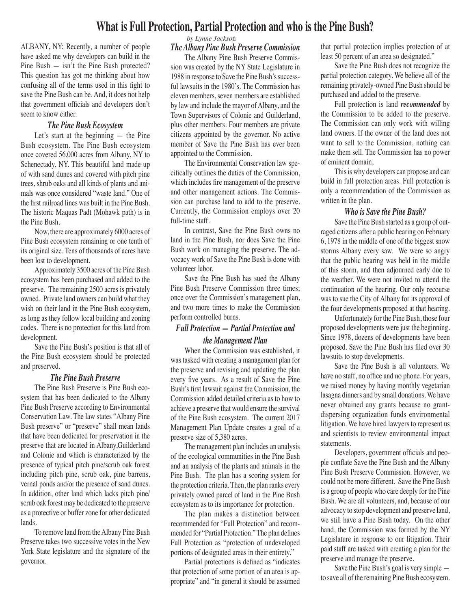#### **What is Full Protection, Partial Protection and who is the Pine Bush?**

ALBANY, NY: Recently, a number of people have asked me why developers can build in the Pine Bush — isn't the Pine Bush protected? This question has got me thinking about how confusing all of the terms used in this fight to save the Pine Bush can be. And, it does not help that government officials and developers don't seem to know either.

#### *The Pine Bush Ecosystem*

Let's start at the beginning — the Pine Bush ecosystem. The Pine Bush ecosystem once covered 56,000 acres from Albany, NY to Schenectady, NY. This beautiful land made up of with sand dunes and covered with pitch pine trees, shrub oaks and all kinds of plants and animals was once considered "waste land." One of the first railroad lines was built in the Pine Bush. The historic Maquas Padt (Mohawk path) is in the Pine Bush.

Now, there are approximately 6000 acres of Pine Bush ecosystem remaining or one tenth of its original size. Tens of thousands of acres have been lost to development.

Approximately 3500 acres of the Pine Bush ecosystem has been purchased and added to the preserve. The remaining 2500 acres is privately owned. Private land owners can build what they wish on their land in the Pine Bush ecosystem, as long as they follow local building and zoning codes. There is no protection for this land from development.

Save the Pine Bush's position is that all of the Pine Bush ecosystem should be protected and preserved.

#### *The Pine Bush Preserve*

The Pine Bush Preserve is Pine Bush ecosystem that has been dedicated to the Albany Pine Bush Preserve according to Environmental Conservation Law. The law states "Albany Pine Bush preserve" or "preserve" shall mean lands that have been dedicated for preservation in the preserve that are located in Albany,Guilderland and Colonie and which is characterized by the presence of typical pitch pine/scrub oak forest including pitch pine, scrub oak, pine barrens, vernal ponds and/or the presence of sand dunes. In addition, other land which lacks pitch pine/ scrub oak forest may be dedicated to the preserve as a protective or buffer zone for other dedicated lands.

To remove land from the Albany Pine Bush Preserve takes two successive votes in the New York State legislature and the signature of the governor.

#### *by Lynne Jackso*n

#### *The Albany Pine Bush Preserve Commission*

The Albany Pine Bush Preserve Commission was created by the NY State Legislature in 1988 in response to Save the Pine Bush's successful lawsuits in the 1980's. The Commission has eleven members, seven members are established by law and include the mayor of Albany, and the Town Supervisors of Colonie and Guilderland, plus other members. Four members are private citizens appointed by the governor. No active member of Save the Pine Bush has ever been appointed to the Commission.

The Environmental Conservation law specifically outlines the duties of the Commission, which includes fire management of the preserve and other management actions. The Commission can purchase land to add to the preserve. Currently, the Commission employs over 20 full-time staff.

In contrast, Save the Pine Bush owns no land in the Pine Bush, nor does Save the Pine Bush work on managing the preserve. The advocacy work of Save the Pine Bush is done with volunteer labor.

Save the Pine Bush has sued the Albany Pine Bush Preserve Commission three times; once over the Commission's management plan, and two more times to make the Commission perform controlled burns.

#### *Full Protection — Partial Protection and the Management Plan*

When the Commission was established, it was tasked with creating a management plan for the preserve and revising and updating the plan every five years. As a result of Save the Pine Bush's first lawsuit against the Commission, the Commission added detailed criteria as to how to achieve a preserve that would ensure the survival of the Pine Bush ecosystem. The current 2017 Management Plan Update creates a goal of a preserve size of 5,380 acres.

The management plan includes an analysis of the ecological communities in the Pine Bush and an analysis of the plants and animals in the Pine Bush. The plan has a scoring system for the protection criteria. Then, the plan ranks every privately owned parcel of land in the Pine Bush ecosystem as to its importance for protection.

The plan makes a distinction between recommended for "Full Protection" and recommended for "Partial Protection." The plan defines Full Protection as "protection of undeveloped portions of designated areas in their entirety."

Partial protections is defined as "indicates that protection of some portion of an area is appropriate" and "in general it should be assumed

that partial protection implies protection of at least 50 percent of an area so designated."

Save the Pine Bush does not recognize the partial protection category. We believe all of the remaining privately-owned Pine Bush should be purchased and added to the preserve.

Full protection is land *recommended* by the Commission to be added to the preserve. The Commission can only work with willing land owners. If the owner of the land does not want to sell to the Commission, nothing can make them sell. The Commission has no power of eminent domain,

This is why developers can propose and can build in full protection areas. Full protection is only a recommendation of the Commission as written in the plan.

#### *Who is Save the Pine Bush?*

Save the Pine Bush started as a group of outraged citizens after a public hearing on February 6, 1978 in the middle of one of the biggest snow storms Albany every saw. We were so angry that the public hearing was held in the middle of this storm, and then adjourned early due to the weather. We were not invited to attend the continuation of the hearing. Our only recourse was to sue the City of Albany for its approval of the four developments proposed at that hearing.

Unfortunately for the Pine Bush, those four proposed developments were just the beginning. Since 1978, dozens of developments have been proposed. Save the Pine Bush has filed over 30 lawsuits to stop developments.

Save the Pine Bush is all volunteers. We have no staff, no office and no phone. For years, we raised money by having monthly vegetarian lasagna dinners and by small donations. We have never obtained any grants because no grantdispersing organization funds environmental litigation. We have hired lawyers to represent us and scientists to review environmental impact statements.

Developers, government officials and people conflate Save the Pine Bush and the Albany Pine Bush Preserve Commission. However, we could not be more different. Save the Pine Bush is a group of people who care deeply for the Pine Bush. We are all volunteers, and, because of our advocacy to stop development and preserve land, we still have a Pine Bush today. On the other hand, the Commission was formed by the NY Legislature in response to our litigation. Their paid staff are tasked with creating a plan for the preserve and manage the preserve.

Save the Pine Bush's goal is very simple to save all of the remaining Pine Bush ecosystem.